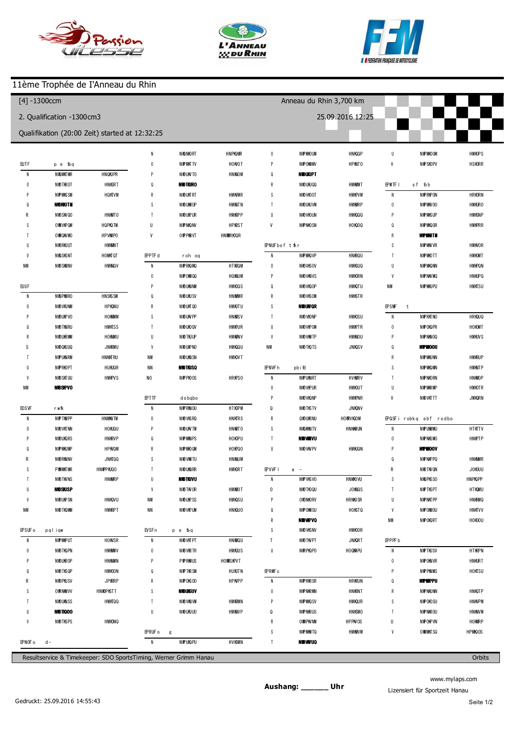





## 11ème Trophée de I'Anneau du Rhin

| $[4] - 1300$ ccm                           |               |                                                |                  |                         | Anneau du Rhin 3,700 km<br>25.09.2016 12:25 |                         |             |                 |                     |                         |           |
|--------------------------------------------|---------------|------------------------------------------------|------------------|-------------------------|---------------------------------------------|-------------------------|-------------|-----------------|---------------------|-------------------------|-----------|
| 2. Qualification -1300cm3                  |               |                                                |                  |                         |                                             |                         |             |                 |                     |                         |           |
|                                            |               | Qualifikation (20:00 Zeit) started at 12:32:25 |                  |                         |                                             |                         |             |                 |                     |                         |           |
|                                            |               |                                                | $\mathbf{1}$     | 1 41.257                | $+13.405$                                   | $\overline{2}$          | 130.280     | $+1.443$        | $\, 8$              | 1 30.220                | $+0.236$  |
| (87) Cyprien                               | <b>SCHMDT</b> |                                                | $\overline{2}$   | 1 30.779                | $+2.927$                                    | $\sqrt{3}$              | 132.009     | $+3.172$        | p9                  | 136.239                 | $+6.255$  |
| $\overline{1}$                             | 1 40.705      | $+14.835$                                      | $\sqrt{3}$       | 1 28.972                | $+1.120$                                    | $\overline{4}$          | 128.837     |                 |                     |                         |           |
| $\overline{2}$                             | 1 27.527      | $+1.657$                                       | 4                | 127.852                 |                                             | 5                       | 1 28.844    | $+0.007$        |                     | (307) O livier V CARE   |           |
| 3                                          | 1 30.660      | $+4.790$                                       | 5                | 1 28.757                | $+0.905$                                    | $6\phantom{1}6$         | 1 29.227    | $+0.390$        | $\overline{1}$      | 135.321                 | $+5.251$  |
| $\overline{4}$                             | 125.870       |                                                | $\boldsymbol{6}$ | 1 28.023                | $+0.171$                                    | $\overline{1}$          | 1 28.890    | $+0.053$        | $\overline{2}$      | 130.922                 | $+0.852$  |
| p5                                         | 1 26.942      | $+1.072$                                       | $\overline{1}$   | 1 28.385                | $+0.533$                                    | $\,$ 8                  | 1 29.281    | $+0.444$        | 3                   | 130.683                 | $+0.613$  |
| 6                                          | 2 09.340      | $+43.470$                                      | p8               | 131.419                 | $+3.567$                                    | p9                      | 131.261     | $+2.424$        | 4                   | 1 3 0 4 2 5             | $+0.355$  |
| 7                                          | 2 04.902      | $+39.032$                                      | p9               | 233.097                 | $+1.05.245$                                 |                         |             |                 | 5                   | 130,070                 |           |
| 8                                          | 1 25.887      | $+0.017$                                       |                  |                         |                                             | <b>(318) ER C W NUM</b> |             | $6\phantom{1}6$ | 130.995             | $+0.925$                |           |
| 9                                          | 1 46.617      | $+20.747$                                      |                  | (337) Guillaume BURKART |                                             | $\overline{1}$          | 1 30.493    | $+1.548$        | $\overline{1}$      | 130.277                 | $+0.207$  |
| 10                                         | 1 26.019      | $+0.149$                                       | $\overline{1}$   | 135.404                 | $+7.540$                                    | $\overline{2}$          | 1 29.629    | $+0.684$        | 8                   | 130.411                 | $+0.341$  |
|                                            |               |                                                | $\sqrt{2}$       | 132.044                 | $+4.180$                                    | $\sqrt{3}$              | 1 29.196    | $+0.251$        | $\overline{9}$      | 131.904                 | $+1.834$  |
| (88) charles diller                        |               |                                                | $\sqrt{3}$       | 1 28.110                | $+0.246$                                    | $\overline{4}$          | 1 29.423    | $+0.478$        | 510                 | 130.838                 | $+0.768$  |
| $\overline{1}$                             | 1 43.052      | $+16.660$                                      | $\overline{4}$   | 1 28.869                | $+1.005$                                    | 5                       | 1 29.620    | $+0.675$        |                     |                         |           |
| $\overline{2}$                             | 1 29.810      | $+3.418$                                       | 5                | 1 28.742                | $+0.878$                                    | $\boldsymbol{6}$        | 128.945     |                 | (360) yan W inkler  |                         |           |
| 3                                          | 1 28.392      | $+2.000$                                       | $\boldsymbol{6}$ | 1 28.933                | $+1.069$                                    | $\overline{1}$          | 1 29.213    | $+0.268$        | $\overline{1}$      | 135.712                 | $+5.484$  |
|                                            | 1 2 7 1 5 8   | $+0.766$                                       | $\overline{1}$   | 1 28.249                | $+0.385$                                    | 8                       | 1 29.320    | $+0.375$        | $\overline{2}$      | 1 3 2 4 3 5             | $+2.207$  |
| 5                                          | 1 28.500      | $+2.108$                                       | $\bf 8$          | 1 2 7 8 8 3             | $+0.019$                                    | $\overline{9}$          | 1 29.073    | $+0.128$        | 3                   | 131.124                 | $+0.896$  |
| p6                                         | 1 24.884      | $-1.508$                                       | $\boldsymbol{9}$ | 1 28.312                | $+0.448$                                    | 510                     | 1 2 7 4 7 6 | $-1.469$        | 4                   | 130.228                 |           |
| $\overline{7}$                             | 1 38.150      | $+11.758$                                      | 10               | 1 28.161                | $+0.297$                                    |                         |             |                 | 5                   | 130.811                 | $+0.583$  |
| 8                                          | 1 35.237      | $+8.845$                                       | 11               | 127.864                 |                                             | (319) Kéw n SEL G       |             |                 | $6\phantom{1}6$     | 1 30.401                | $+0.173$  |
| 9                                          | 1 26.788      | $+0.396$                                       | 512              | 133.226                 | $+5.362$                                    | $\overline{1}$          | 138.157     | $+9.059$        | $\overline{1}$      | 131.251                 | $+1.023$  |
| 10                                         | 126.392       |                                                |                  |                         |                                             | $\overline{2}$          | 1 29.385    | $+0.287$        | 8                   | 1 30.503                | $+0.275$  |
|                                            |               |                                                |                  | (377) Christian GRETER  |                                             | $\sqrt{3}$              | 1 29.413    | $+0.315$        | p9                  | 1 29.777                | $-0.451$  |
| (269) Bernard CUZN                         |               |                                                | $\overline{1}$   | 135.128                 | $+7.230$                                    | p4                      | 1 27.679    | $-1.419$        |                     |                         |           |
| $\overline{1}$                             | 137.033       | $+10.170$                                      | $\overline{2}$   | 1 29.654                | $+1.756$                                    | 5                       | 4 28.518    | $+259.420$      |                     | (346) LAURENT HEMBURGER |           |
| $\overline{2}$                             | 1 29.711      | $+2.848$                                       | $\sqrt{3}$       | 1 28.970                | $+1.072$                                    | $6\phantom{1}6$         | 1 40.179    | $+11.081$       | $\overline{1}$      | 138.008                 | $+7.779$  |
| 3                                          | 1 28.456      | $+1.593$                                       | 4                | 1 30.136                | $+2.238$                                    | $\overline{1}$          | 129.098     |                 | $\overline{2}$      | 131.602                 | $+1.373$  |
| 4                                          | 1 30.803      | $+3.940$                                       | 5                | 1 3 0 . 2 4 0           | $+2.342$                                    | $\,$ 8                  | 1 29.939    | $+0.841$        | 3                   | 130.229                 |           |
| p <sub>5</sub>                             | 1 25.119      | $-1.744$                                       | $\boldsymbol{6}$ | 1 29.078                | $+1.180$                                    |                         |             |                 | 4                   | 131.334                 | $+1.105$  |
| 6                                          | 3 00.705      | $+133.842$                                     | $\overline{1}$   | 1 28.155                | $+0.257$                                    | (399) 0 livier Dagom    |             | p <sub>5</sub>  | 1 27.941            | $-2.288$                |           |
| $\overline{7}$                             | 1 27.916      | $+1.053$                                       | $\bf 8$          | 127.898                 |                                             | $\overline{1}$          | 139.692     | $+10.298$       | $\boldsymbol{6}$    | 1 43.662                | $+13.433$ |
| 8                                          | 126.863       |                                                | $\boldsymbol{9}$ | 1 27.925                | $+0.027$                                    | p2                      | 1 27.248    | $-2.146$        | $7\phantom{.0}$     | 137.637                 | $+7.408$  |
| $\mathbf{g}$                               | 1 28.361      | $+1.498$                                       | $10$             | 1 28.366                | $+0.468$                                    | $\sqrt{3}$              | 2 2 1 2 5 9 | $+51.865$       | $\bf 8$             | 131.733                 | $+1.504$  |
| 10                                         | 1 27.400      | $+0.537$                                       | 11               | 1 29.380                | $+1.482$                                    | $\overline{4}$          | 132.068     | $+2.674$        | 9                   | 132.028                 | $+1.799$  |
|                                            |               |                                                |                  |                         |                                             | $\sqrt{5}$              | 129.394     |                 | $10$                | 132.457                 | $+2.228$  |
| (368) Regis STOLTZ<br>(96) Q uenth SCHM DT |               |                                                |                  |                         | $\boldsymbol{6}$                            | 1 29.619                | $+0.225$    |                 |                     |                         |           |
| $\overline{1}$                             | 130.387       | $+2.965$                                       | $\overline{1}$   | 1 29.737                | $+1.048$                                    | p7                      | 1 27.937    | $-1.457$        | (333) Eric fellmann |                         |           |
| $\overline{2}$                             | 1 27.431      | $+0.009$                                       | $\overline{2}$   | 1 29.575                | $+0.886$                                    | $\,$ 8                  | 153.432     | $+24.038$       | $\overline{1}$      | 137.869                 | $+7.531$  |
| 3                                          | 1 28.523      | $+1.101$                                       | $\sqrt{3}$       | 335.086                 | $+2.06.397$                                 |                         |             |                 | $\boldsymbol{2}$    | 132.195                 | $+1.857$  |
| $\overline{4}$                             | 1 27.643      | $+0.221$                                       | 4                | 137.560                 | $+8.871$                                    | (350) Franck staller    |             |                 | 3                   | 133.106                 | $+2.768$  |
| p5                                         | 1 23.869      | $-3.553$                                       | 5                | 132.622                 | $+3.933$                                    | $\overline{1}$          | 135.565     | $+5.581$        | 4                   | 130.338                 |           |
| $6\phantom{1}6$                            | 251.099       | $+123.677$                                     | $6\phantom{.}6$  | 128.689                 |                                             | $\overline{2}$          | 131.501     | $+1.517$        | 5                   | 131.811                 | $+1.473$  |
| $\overline{7}$                             | 1 28.166      | $+0.744$                                       | $\overline{7}$   | 1 29.190                | $+0.501$                                    | $\sqrt{3}$              | 1 30.469    | $+0.485$        | $\boldsymbol{6}$    | 132.268                 | $+1.930$  |
| 8                                          | 127.422       |                                                | $\bf 8$          | 1 28.882                | $+0.193$                                    | p4                      | 131.586     | $+1.602$        | $\overline{1}$      | 131.528                 | $+1.190$  |
| 9                                          | 1 27.636      | $+0.214$                                       |                  |                         |                                             | 5                       | 203.910     | $+33.926$       | p8                  | 132.391                 | $+2.053$  |
|                                            |               |                                                | (358) René Jaeck |                         |                                             | $\boldsymbol{6}$        | 1 30.074    | $+0.090$        | 9                   | 2 00.764                | $+30.426$ |
|                                            |               |                                                |                  |                         |                                             |                         |             |                 |                     |                         |           |
| (312) Régis Godinat                        |               |                                                | $\overline{1}$   | 138.438                 | $+9.601$                                    | $\overline{1}$          | 129.984     |                 |                     |                         |           |

www.mylaps.com Lizensiert für Sportzeit Hanau